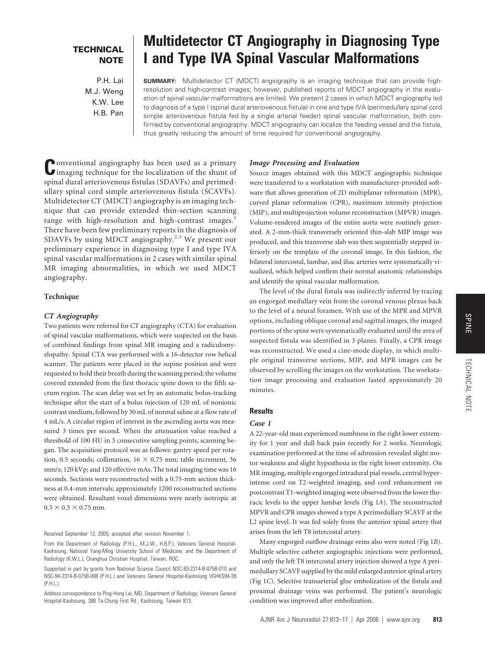# SPINE

### **TECHNICAL NOTE**

P.H. Lai M.J. Weng K.W. Lee H.B. Pan

## **Multidetector CT Angiography in Diagnosing Type I and Type IVA Spinal Vascular Malformations**

**SUMMARY:** Multidetector CT (MDCT) angiography is an imaging technique that can provide highresolution and high-contrast images; however, published reports of MDCT angiography in the evaluation of spinal vascular malformations are limited. We present 2 cases in which MDCT angiography led to diagnosis of a type I (spinal dural arteriovenous fistula) in one and type IVA (perimedullary spinal cord simple arteriovenous fistula fed by a single arterial feeder) spinal vascular malformation, both confirmed by conventional angiography. MDCT angiography can localize the feeding vessel and the fistula, thus greatly reducing the amount of time required for conventional angiography.

**C**onventional angiography has been used as a primary imaging technique for the localization of the shunt of spinal dural arteriovenous fistulas (SDAVFs) and perimedullary spinal cord simple arteriovenous fistula (SCAVFs). Multidetector CT (MDCT) angiography is an imaging technique that can provide extended thin-section scanning range with high-resolution and high-contrast images.<sup>1</sup> There have been few preliminary reports in the diagnosis of SDAVFs by using MDCT angiography.<sup>2,3</sup> We present our preliminary experience in diagnosing type I and type IVA spinal vascular malformations in 2 cases with similar spinal MR imaging abnormalities, in which we used MDCT angiography.

#### **Technique**

#### *CT Angiography*

Two patients were referred for CT angiography (CTA) for evaluation of spinal vascular malformations, which were suspected on the basis of combined findings from spinal MR imaging and a radiculomyelopathy. Spinal CTA was performed with a 16-detector row helical scanner. The patients were placed in the supine position and were requested to hold their breath during the scanning period; the volume covered extended from the first thoracic spine down to the fifth sacrum region. The scan delay was set by an automatic bolus-tracking technique after the start of a bolus injection of 120 mL of nonionic contrast medium, followed by 30 mL of normal saline at a flow rate of 4 mL/s. A circular region of interest in the ascending aorta was measured 3 times per second. When the attenuation value reached a threshold of 100 HU in 3 consecutive sampling points, scanning began. The acquisition protocol was as follows: gantry speed per rotation, 0.5 seconds; collimation,  $16 \times 0.75$  mm; table increment, 36 mm/s; 120 kVp; and 120 effective mAs. The total imaging time was 16 seconds. Sections were reconstructed with a 0.75-mm section thickness at 0.4-mm intervals; approximately 1200 reconstructed sections were obtained. Resultant voxel dimensions were nearly isotropic at  $0.5 \times 0.5 \times 0.75$  mm.

Received September 12, 2005; accepted after revision November 1.

From the Department of Radiology (P.H.L., M.J.W., H.B.P.), Veterans General Hospital-Kaohsiung, National Yang-Ming University School of Medicine; and the Department of Radiology (K.W.L.), Changhua Christian Hospital, Taiwan, ROC.

Supported in part by grants from National Science Council NSC-93-2314-B-075B-010 and NSC-94-2314-B-075B-008 (P.H.L.) and Veterans General Hospital-Kaohsiung VGHKS94-39 (P.H.L.).

Address correspondence to Ping-Hong Lai, MD, Department of Radiology, Veterans General Hospital-Kaohsiung, 386 Ta-Chung First Rd., Kaohsiung, Taiwan 813.

#### *Image Processing and Evaluation*

Source images obtained with this MDCT angiographic technique were transferred to a workstation with manufacturer-provided software that allows generation of 2D multiplanar reformation (MPR), curved planar reformation (CPR), maximum intensity projection (MIP), and multiprojection volume reconstruction (MPVR) images. Volume-rendered images of the entire aorta were routinely generated. A 2-mm-thick transversely oriented thin-slab MIP image was produced, and this transverse slab was then sequentially stepped inferiorly on the template of the coronal image. In this fashion, the bilateral intercostal, lumbar, and iliac arteries were systematically visualized, which helped confirm their normal anatomic relationships and identify the spinal vascular malformation.

The level of the dural fistula was indirectly inferred by tracing an engorged medullary vein from the coronal venous plexus back to the level of a neural foramen. With use of the MPR and MPVR options, including oblique coronal and sagittal images, the imaged portions of the spine were systematically evaluated until the area of suspected fistula was identified in 3 planes. Finally, a CPR image was reconstructed. We used a cine-mode display, in which multiple original transverse sections, MIP, and MPR images can be observed by scrolling the images on the workstation. The workstation image processing and evaluation lasted approximately 20 minutes.

#### **Results**

#### *Case 1*

A 22-year-old man experienced numbness in the right lower extremity for 1 year and dull back pain recently for 2 weeks. Neurologic examination performed at the time of admission revealed slight motor weakness and slight hypesthesia in the right lower extremity. On MR imaging, multiple engorged intradural pial vessels, central hyperintense cord on T2-weighted imaging, and cord enhancement on postcontrast T1-weighted imaging were observed from the lower thoracic levels to the upper lumbar levels (Fig 1*A*). The reconstructed MPVR and CPR images showed a type A perimedullary SCAVF at the L2 spine level. It was fed solely from the anterior spinal artery that arises from the left T8 intercostal artery.

Many engorged outflow drainage veins also were noted (Fig 1*B*). Multiple selective catheter angiographic injections were performed, and only the left T8 intercostal artery injection showed a type A perimedullary SCAVF supplied by the mild enlarged anterior spinal artery (Fig 1*C*). Selective transarterial glue embolization of the fistula and proximal drainage veins was performed. The patient's neurologic condition was improved after embolization.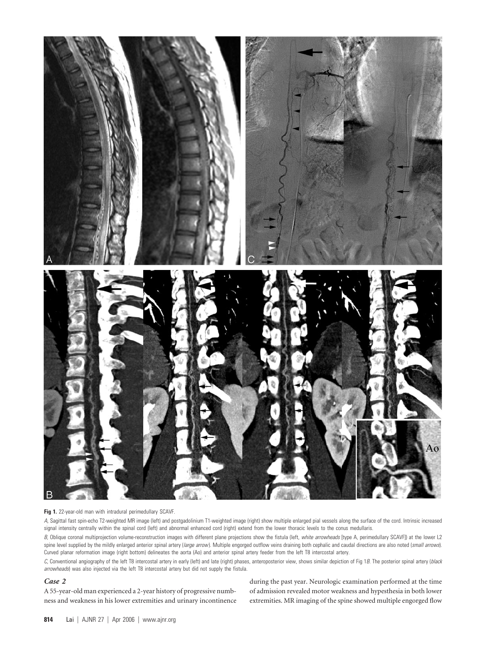

#### **Fig 1.** 22-year-old man with intradural perimedullary SCAVF.

*A,* Sagittal fast spin-echo T2-weighted MR image (left) and postgadolinium T1-weighted image (right) show multiple enlarged pial vessels along the surface of the cord. Intrinsic increased signal intensity centrally within the spinal cord (left) and abnormal enhanced cord (right) extend from the lower thoracic levels to the conus medullaris.

*B,* Oblique coronal multiprojection volume-reconstruction images with different plane projections show the fistula (left, *white arrowheads* [type A, perimedullary SCAVF]) at the lower L2 spine level supplied by the mildly enlarged anterior spinal artery (large arrow). Multiple engorged outflow veins draining both cephalic and caudal directions are also noted (small arrows). Curved planar reformation image (right bottom) delineates the aorta (Ao) and anterior spinal artery feeder from the left T8 intercostal artery.

*C,* Conventional angiography of the left T8 intercostal artery in early (left) and late (right) phases, anteroposterior view, shows similar depiction of Fig 1*B*. The posterior spinal artery (*black arrowheads*) was also injected via the left T8 intercostal artery but did not supply the fistula.

#### *Case 2*

A 55-year-old man experienced a 2-year history of progressive numbness and weakness in his lower extremities and urinary incontinence during the past year. Neurologic examination performed at the time of admission revealed motor weakness and hypesthesia in both lower extremities. MR imaging of the spine showed multiple engorged flow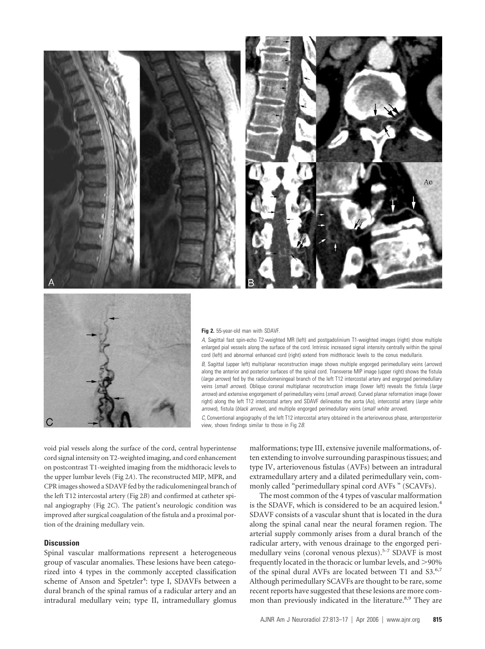



#### **Fig 2.** 55-year-old man with SDAVF.

*A,* Sagittal fast spin-echo T2-weighted MR (left) and postgadolinium T1-weighted images (right) show multiple enlarged pial vessels along the surface of the cord. Intrinsic increased signal intensity centrally within the spinal cord (left) and abnormal enhanced cord (right) extend from midthoracic levels to the conus medullaris.

*B,* Sagittal (upper left) multiplanar reconstruction image shows multiple engorged perimedullary veins (*arrows*) along the anterior and posterior surfaces of the spinal cord. Transverse MIP image (upper right) shows the fistula (*large arrows*) fed by the radiculomeningeal branch of the left T12 intercostal artery and engorged perimedullary veins (*small arrows*). Oblique coronal multiplanar reconstruction image (lower left) reveals the fistula (*large arrows*) and extensive engorgement of perimedullary veins (*small arrows*). Curved planar reformation image (lower right) along the left T12 intercostal artery and SDAVF delineates the aorta (Ao), intercostal artery (*large white arrows*), fistula (*black arrows*), and multiple engorged perimedullary veins (*small white arrows*).

*C,* Conventional angiography of the left T12 intercostal artery obtained in the arteriovenous phase, anteroposterior view, shows findings similar to those in Fig 2*B*.

void pial vessels along the surface of the cord, central hyperintense cord signal intensity on T2-weighted imaging, and cord enhancement on postcontrast T1-weighted imaging from the midthoracic levels to the upper lumbar levels (Fig 2*A*). The reconstructed MIP, MPR, and CPR images showed a SDAVF fed by the radiculomeningeal branch of the left T12 intercostal artery (Fig 2*B*) and confirmed at catheter spinal angiography (Fig 2*C*). The patient's neurologic condition was improved after surgical coagulation of the fistula and a proximal portion of the draining medullary vein.

#### **Discussion**

Spinal vascular malformations represent a heterogeneous group of vascular anomalies. These lesions have been categorized into 4 types in the commonly accepted classification scheme of Anson and Spetzler<sup>4</sup>: type I, SDAVFs between a dural branch of the spinal ramus of a radicular artery and an intradural medullary vein; type II, intramedullary glomus malformations; type III, extensive juvenile malformations, often extending to involve surrounding paraspinous tissues; and type IV, arteriovenous fistulas (AVFs) between an intradural extramedullary artery and a dilated perimedullary vein, commonly called "perimedullary spinal cord AVFs " (SCAVFs).

The most common of the 4 types of vascular malformation is the SDAVF, which is considered to be an acquired lesion.<sup>4</sup> SDAVF consists of a vascular shunt that is located in the dura along the spinal canal near the neural foramen region. The arterial supply commonly arises from a dural branch of the radicular artery, with venous drainage to the engorged perimedullary veins (coronal venous plexus).5-7 SDAVF is most frequently located in the thoracic or lumbar levels, and  $>\!\!90\%$ of the spinal dural AVFs are located between T1 and S3.<sup>6,7</sup> Although perimedullary SCAVFs are thought to be rare, some recent reports have suggested that these lesions are more common than previously indicated in the literature.<sup>8,9</sup> They are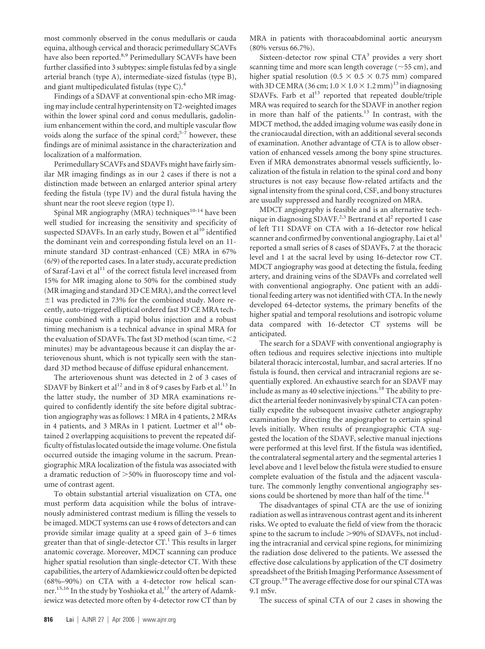most commonly observed in the conus medullaris or cauda equina, although cervical and thoracic perimedullary SCAVFs have also been reported.<sup>8,9</sup> Perimedullary SCAVFs have been further classified into 3 subtypes: simple fistulas fed by a single arterial branch (type A), intermediate-sized fistulas (type B), and giant multipediculated fistulas (type C).4

Findings of a SDAVF at conventional spin-echo MR imaging may include central hyperintensity on T2-weighted images within the lower spinal cord and conus medullaris, gadolinium enhancement within the cord, and multiple vascular flow voids along the surface of the spinal cord; $5-7$  however, these findings are of minimal assistance in the characterization and localization of a malformation.

Perimedullary SCAVFs and SDAVFs might have fairly similar MR imaging findings as in our 2 cases if there is not a distinction made between an enlarged anterior spinal artery feeding the fistula (type IV) and the dural fistula having the shunt near the root sleeve region (type I).

Spinal MR angiography (MRA) techniques<sup>10-14</sup> have been well studied for increasing the sensitivity and specificity of suspected SDAVFs. In an early study, Bowen et al<sup>10</sup> identified the dominant vein and corresponding fistula level on an 11 minute standard 3D contrast-enhanced (CE) MRA in 67% (6/9) of the reported cases. In a later study, accurate prediction of Saraf-Lavi et al $^{11}$  of the correct fistula level increased from 15% for MR imaging alone to 50% for the combined study (MR imaging and standard 3D CE MRA), and the correct level  $\pm 1$  was predicted in 73% for the combined study. More recently, auto-triggered elliptical ordered fast 3D CE MRA technique combined with a rapid bolus injection and a robust timing mechanism is a technical advance in spinal MRA for the evaluation of SDAVFs. The fast 3D method (scan time,  $\leq$ 2 minutes) may be advantageous because it can display the arteriovenous shunt, which is not typically seen with the standard 3D method because of diffuse epidural enhancement.

The arteriovenous shunt was detected in 2 of 3 cases of SDAVF by Binkert et al<sup>12</sup> and in 8 of 9 cases by Farb et al.<sup>13</sup> In the latter study, the number of 3D MRA examinations required to confidently identify the site before digital subtraction angiography was as follows: 1 MRA in 4 patients, 2 MRAs in 4 patients, and 3 MRAs in 1 patient. Luetmer et  $al<sup>14</sup>$  obtained 2 overlapping acquisitions to prevent the repeated difficulty of fistulas located outside the image volume. One fistula occurred outside the imaging volume in the sacrum. Preangiographic MRA localization of the fistula was associated with a dramatic reduction of  $>$  50% in fluoroscopy time and volume of contrast agent.

To obtain substantial arterial visualization on CTA, one must perform data acquisition while the bolus of intravenously administered contrast medium is filling the vessels to be imaged. MDCT systems can use 4 rows of detectors and can provide similar image quality at a speed gain of 3–6 times greater than that of single-detector  $CT<sup>1</sup>$ . This results in larger anatomic coverage. Moreover, MDCT scanning can produce higher spatial resolution than single-detector CT. With these capabilities, the artery of Adamkiewicz could often be depicted (68%–90%) on CTA with a 4-detector row helical scanner.<sup>15,16</sup> In the study by Yoshioka et al,<sup>17</sup> the artery of Adamkiewicz was detected more often by 4-detector row CT than by MRA in patients with thoracoabdominal aortic aneurysm (80% versus 66.7%).

Sixteen-detector row spinal  $CTA<sup>3</sup>$  provides a very short scanning time and more scan length coverage  $(\sim 55 \text{ cm})$ , and higher spatial resolution (0.5  $\times$  0.5  $\times$  0.75 mm) compared with 3D CE MRA (36 cm;  $1.0 \times 1.0 \times 1.2$  mm)<sup>13</sup> in diagnosing SDAVFs. Farb et  $al<sup>13</sup>$  reported that repeated double/triple MRA was required to search for the SDAVF in another region in more than half of the patients. $13$  In contrast, with the MDCT method, the added imaging volume was easily done in the craniocaudal direction, with an additional several seconds of examination. Another advantage of CTA is to allow observation of enhanced vessels among the bony spine structures. Even if MRA demonstrates abnormal vessels sufficiently, localization of the fistula in relation to the spinal cord and bony structures is not easy because flow-related artifacts and the signal intensity from the spinal cord, CSF, and bony structures are usually suppressed and hardly recognized on MRA.

MDCT angiography is feasible and is an alternative technique in diagnosing SDAVF.<sup>2,3</sup> Bertrand et al<sup>2</sup> reported 1 case of left T11 SDAVF on CTA with a 16-detector row helical scanner and confirmed by conventional angiography. Lai et al<sup>3</sup> reported a small series of 8 cases of SDAVFs, 7 at the thoracic level and 1 at the sacral level by using 16-detector row CT. MDCT angiography was good at detecting the fistula, feeding artery, and draining veins of the SDAVFs and correlated well with conventional angiography. One patient with an additional feeding artery was not identified with CTA. In the newly developed 64-detector systems, the primary benefits of the higher spatial and temporal resolutions and isotropic volume data compared with 16-detector CT systems will be anticipated.

The search for a SDAVF with conventional angiography is often tedious and requires selective injections into multiple bilateral thoracic intercostal, lumbar, and sacral arteries. If no fistula is found, then cervical and intracranial regions are sequentially explored. An exhaustive search for an SDAVF may include as many as 40 selective injections.<sup>18</sup> The ability to predict the arterial feeder noninvasively by spinal CTA can potentially expedite the subsequent invasive catheter angiography examination by directing the angiographer to certain spinal levels initially. When results of preangiographic CTA suggested the location of the SDAVF, selective manual injections were performed at this level first. If the fistula was identified, the contralateral segmental artery and the segmental arteries 1 level above and 1 level below the fistula were studied to ensure complete evaluation of the fistula and the adjacent vasculature. The commonly lengthy conventional angiography sessions could be shortened by more than half of the time.<sup>14</sup>

The disadvantages of spinal CTA are the use of ionizing radiation as well as intravenous contrast agent and its inherent risks. We opted to evaluate the field of view from the thoracic spine to the sacrum to include >90% of SDAVFs, not including the intracranial and cervical spine regions, for minimizing the radiation dose delivered to the patients. We assessed the effective dose calculations by application of the CT dosimetry spreadsheet of the British Imaging Performance Assessment of CT group.<sup>19</sup> The average effective dose for our spinal CTA was 9.1 mSv.

The success of spinal CTA of our 2 cases in showing the